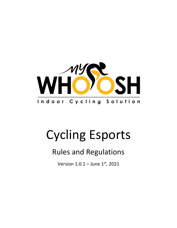

# Cycling Esports

# Rules and Regulations

Version  $1.0.1 -$  June  $1^{st}$ , 2021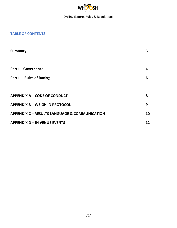

# **TABLE OF CONTENTS**

| Summary                                                  | 3  |
|----------------------------------------------------------|----|
|                                                          |    |
| <b>Part I-Governance</b>                                 | 4  |
| <b>Part II - Rules of Racing</b>                         | 6  |
|                                                          |    |
| <b>APPENDIX A - CODE OF CONDUCT</b>                      | 8  |
| <b>APPENDIX B - WEIGH IN PROTOCOL</b>                    | 9  |
| <b>APPENDIX C - RESULTS LANGUAGE &amp; COMMUNICATION</b> | 10 |
| <b>APPENDIX D - IN VENUE EVENTS</b>                      | 12 |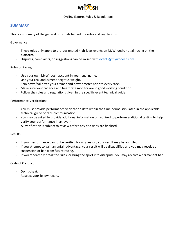

#### **SUMMARY**

This is a summary of the general principals behind the rules and regulations.

Governance:

- These rules only apply to pre-designated high-level events on MyWhoosh, not all racing on the platform.
- Disputes, complaints, or suggestions can be raised with [events@mywhoosh.com.](mailto:events@mywhoosh.com)

#### Rules of Racing:

- Use your own MyWhoosh account in your legal name.
- Use your real and current height & weight.
- Spin down/calibrate your trainer and power meter prior to every race.
- Make sure your cadence and heart rate monitor are in good working condition.
- Follow the rules and regulations given in the specific event technical guide.

Performance Verification:

- You must provide performance verification data within the time period stipulated in the applicable technical guide or race communication.
- You may be asked to provide additional information or required to perform additional testing to help verify your performance in an event.
- All verification is subject to review before any decisions are finalized.

#### Results:

- If your performance cannot be verified for any reason, your result may be annulled.
- If you attempt to gain an unfair advantage, your result will be disqualified and you may receive a suspension or ban from future racing.
- If you repeatedly break the rules, or bring the sport into disrepute, you may receive a permanent ban.

#### Code of Conduct:

- Don't cheat.
- Respect your fellow racers.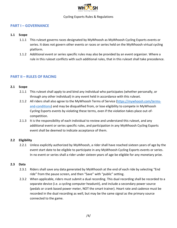

## **PART I – GOVERNANCE**

#### **1.1 Scope**

- 1.1.1 This ruleset governs races designated by MyWhoosh as MyWhoosh Cycling Esports events or series. It does not govern other events or races or series held on the MyWhoosh virtual cycling platform.
- 1.1.2 Additional event or series specific rules may also be provided by an event organizer. Where a rule in this ruleset conflicts with such additional rules, that in this ruleset shall take precedence.

## **PART II – RULES OF RACING**

#### **2.1 Scope**

- 2.1.1 This ruleset shall apply to and bind any individual who participates (whether personally, or through any other individual) in any event held in accordance with this ruleset.
- 2.1.2 All riders shall also agree to the MyWhoosh Terms of Service [\(https://mywhoosh.com/terms](https://mywhoosh.com/terms-and-conditions)[and-conditions\)](https://mywhoosh.com/terms-and-conditions) and may be disqualified from, or lose eligibility to compete in MyWhoosh Cycling Esports events by violating these terms, even if the violation takes place out-ofcompetition.
- 2.1.3 It is the responsibility of each individual to review and understand this ruleset, and any additional event or series specific rules, and participation in any MyWhoosh Cycling Esports event shall be deemed to indicate acceptance of them.

#### **2.2 Eligibility**

2.2.1 Unless explicitly authorized by MyWhoosh, a rider shall have reached sixteen years of age by the event start date to be eligible to participate in any MyWhoosh Cycling Esports events or series. In no event or series shall a rider under sixteen years of age be eligible for any monetary prize.

#### **2.3 Data**

- 2.3.1 Riders shall save any data generated by MyWhoosh at the end of each ride by selecting "End ride" from the pause screen, and then "Save" with "public" setting.
- 2.3.2 When applicable, riders must submit a dual recording. This dual recording shall be recorded to a separate device (i.e. a cycling computer headunit), and include a secondary power source (pedals or crank based power meter, NOT the smart trainer). Heart rate and cadence must be recorded in the dual recording as well, but may be the same signal as the primary source connected to the game.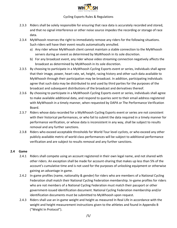

- 2.3.3 Riders shall be solely responsible for ensuring that race data is accurately recorded and stored, and that no signal interference or other noise source impedes the recording or storage of race data.
- 2.3.4 MyWhoosh reserves the right to immediately remove any riders for the following situations. Such riders will have their event results automatically annulled.
	- a) Any rider whose MyWhoosh client cannot maintain a stable connection to the MyWhoosh servers during an event as determined by MyWhoosh in its sole discretion.
	- b) For any broadcast event, any rider whose video streaming connection negatively affects the broadcast as determined by MyWhoosh in its sole discretion.
- 2.3.5 By choosing to participate in a MyWhoosh Cycling Esports event or series, individuals shall agree that their image, power, heart rate, wt, height, racing history and other such data available to MyWhoosh through their participation may be broadcast. In addition, participating individuals agree that such data may be distributed to and used by third parties for the purposes of the broadcast and subsequent distributions of the broadcast and derivatives thereof.
- 2.3.6 By choosing to participate in a MyWhoosh Cycling Esports event or series, individuals shall agree to make available additional data, and respond to queries sent to their email address registered with MyWhoosh in a timely manner, when requested by DAPA or The Performance Verification Board.
- 2.3.7 Riders whose data recorded for a MyWhoosh Cycling Esports event or series are not consistent with their historical performances, or who fail to submit the data required in a timely manner for performance verification, or whose data is inconsistent in any way, shall be subject to results removal and any further sanctions.
- 2.3.8 Riders who exceed acceptable thresholds for World Tour level cyclists, or who exceed any other publicly available metric of world-class performances will be subject to additional performance verification and are subject to results removal and any further sanctions.

#### **2.4 Game**

- 2.4.1 Riders shall compete using an account registered in their own legal name, and not shared with other riders. An exception shall be made for account-sharing that makes up less than 5% of the account's cumulative time and is not used for the purposes of unlocking equipment or otherwise gaining an advantage in game.
- 2.4.2 In-game profiles (name, nationality & gender) for riders who are members of a National Cycling Federation shall match their National Cycling Federation membership. In-game profiles for riders who are not members of a National Cycling Federation must match their passport or other government-issued identification document. National Cycling Federation membership and/or identification documents must be submitted to MyWhoosh upon request.
- 2.4.3 Riders shall use an in-game weight and height as measured In Real Life in accordance with the weight and height measurement instructions given to the athletes and found in Appendix B ("Weight In Protocol").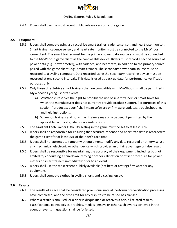

2.4.4 Riders shall use the most recent public release version of the game.

#### **2.5 Equipment**

- 2.5.1 Riders shall compete using a direct-drive smart trainer, cadence sensor, and heart rate monitor. Smart trainer, cadence sensor, and heart rate monitor must be connected to the MyWhoosh game client. The smart trainer must be the primary power data source and must be connected to the MyWhoosh game client as the controllable device. Riders must record a second source of power data (e.g., power meter), with cadence, and heart rate, in addition to the primary source paired with the game client (e.g., smart trainer). The secondary power data source must be recorded to a cycling computer. Data recorded using the secondary recording device must be recorded at one second intervals. This data is used as back up data for performance verification purposes only.
- 2.5.2 Only those direct-drive smart trainers that are compatible with MyWhoosh shall be permitted in MyWhoosh Cycling Esports events.
	- a) MyWhoosh reserves the right to prohibit the use of smart trainers or smart bikes for which the manufacturer does not currently provide product support. For purposes of this section, "product support" shall mean software or firmware updates, troubleshooting, and help instructions.
	- b) Wheel-on trainers and non-smart trainers may only be used if permitted by the applicable technical guide or race instructions.
- 2.5.3 The Gradient Feel/Trainer Difficulty setting in the game must be set to at least 50%.
- 2.5.4 Riders shall be responsible for ensuring that accurate cadence and heart rate data is recorded to the game client for at least 95% of the rider's race time.
- 2.5.5 Riders shall not attempt to tamper with equipment, modify any data recorded or otherwise use any mechanical, electronic or other device which provides an unfair advantage or false result.
- 2.5.6 Riders shall be responsible for maintaining the accuracy of their equipment, including but not limited to, conducting a spin-down, zeroing or other calibration or offset procedure for power meters or smart trainers immediately prior to an event.
- 2.5.7 Riders shall use the most recent publicly available (not beta or testing) firmware for any equipment.
- 2.5.8 Riders shall compete clothed in cycling shorts and a cycling jersey.

#### **2.6 Results**

- 2.6.1 The results of a race shall be considered provisional until all performance verification processes have completed, and the time limit for any disputes to be raised has elapsed.
- 2.6.2 Where a result is annulled, or a rider is disqualified or receives a ban, all related results, classifications, points, prizes, trophies, medals, jerseys or other such awards achieved in the event or events in question shall be forfeited.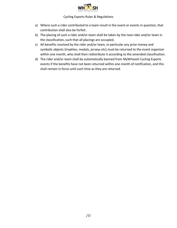

- a) Where such a rider contributed to a team result in the event or events in question, that contribution shall also be forfeit.
- b) The placing of such a rider and/or team shall be taken by the next rider and/or team in the classification, such that all placings are occupied.
- c) All benefits received by the rider and/or team, in particular any prize money and symbolic objects (trophies, medals, jerseys etc) must be returned to the event organizer within one month, who shall then redistribute it according to the amended classification.
- d) The rider and/or team shall be automatically banned from MyWhoosh Cycling Esports events if the benefits have not been returned within one month of notification, and this shall remain in force until such time as they are returned.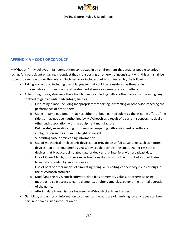

# **APPENDIX A – CODE OF CONDUCT**

MyWhoosh firmly believes in fair competition conducted in an environment that enables people to enjoy racing. Any participant engaging in conduct that is unsporting or otherwise inconsistent with this aim shall be subject to sanction under this ruleset. Such behavior includes, but is not limited to, the following:

- Taking any actions, including use of language, that could be considered as threatening, discriminatory or otherwise could be deemed abusive or cause offence to others.
- Attempting to use, showing others how to use, or colluding with another person who is using, any method to gain an unfair advantage, such as:
	- $\circ$  Disrupting a race, including inappropriately reporting, distracting or otherwise impeding the performance of other riders.
	- $\circ$  Using in-game equipment that has either not been earned solely by the in-game effort of the rider, or has not been authorized by MyWhoosh as a result of a current sponsorship deal or other such association with the equipment manufacturer.
	- o Deliberately mis-calibrating or otherwise tampering with equipment or software configuration such as in-game height or weight.
	- o Submitting false or misleading information.
	- $\circ$  Use of mechanical or electronic devices that provide an unfair advantage, such as motors, devices that alter equipment signals, devices that control the smart trainer resistance, devices that broadcast simulated data or devices that interfere with broadcast data.
	- $\circ$  Use of PowerMatch, or other similar functionality to control the output of a smart trainer from data provided by another device.
	- $\circ$  Use of bots or other means of simulating riding. o Exploiting connectivity issues or bugs in the MyWhoosh software.
	- $\circ$  Modifying the MyWhoosh software, data files or memory values, or otherwise using methods to gain access to game elements, or alter game play, beyond the normal operation of the game.
	- o Altering data transmissions between MyWhoosh clients and servers.
- Gambling, or passing on information to others for the purpose of gambling, on any races you take part in, or have inside information on.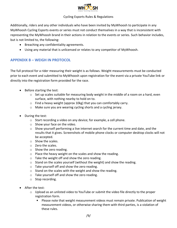

Additionally, riders and any other individuals who have been invited by MyWhoosh to participate in any MyWhoosh Cycling Esports events or series must not conduct themselves in a way that is inconsistent with representing the MyWhoosh brand in their actions in relation to the events or series. Such behavior includes, but is not limited to, the following:

- Breaching any confidentiality agreements.
- Using any material that is unlicensed or relates to any competitor of MyWhoosh.

# **APPENDIX B – WEIGH IN PROTOCOL**

The full protocol for a rider measuring their weight is as follows. Weight measurements must be conducted prior to each event and submitted to MyWhoosh upon registration for the event via a private YouTube link or directly into the registration form provided for the race.

- Before starting the test:
	- $\circ$  Set up scales suitable for measuring body weight in the middle of a room on a hard, even surface, with nothing nearby to hold on to.
	- $\circ$  Find a heavy weight (approx 10kg) that you can comfortably carry.
	- o Make sure you are wearing cycling shorts and a cycling jersey.
- During the test:
	- o Start recording a video on any device; for example, a cell phone.
	- o Show your face on the video.
	- $\circ$  Show yourself performing a live internet search for the current time and date, and the results that it gives. Screenshots of mobile phone clocks or computer desktop clocks will not be accepted.
	- o Show the scales.
	- o Zero the scales.
	- $\circ$  Show the zero reading.
	- o Place the heavy weight on the scales and show the reading.
	- o Take the weight off and show the zero reading.
	- $\circ$  Stand on the scales yourself (without the weight) and show the reading.
	- o Take yourself off and show the zero reading.
	- o Stand on the scales with the weight and show the reading.
	- o Take yourself off and show the zero reading.
	- o Stop recording.
- After the test:
	- $\circ$  Upload as an unlisted video to YouTube or submit the video file directly to the proper registration form.
		- Please note that weight measurement videos must remain private. Publication of weight measurement videos, or otherwise sharing them with third parties, is a violation of these rules.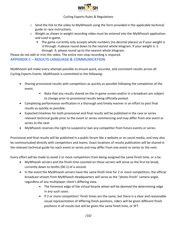

- o Send the link to the video to MyWhoosh using the form provided in the applicable technical guide or race instructions.
- $\circ$  Weight as shown in weight recording video must be entered into the MyWhoosh application and used in-game.
	- The game currently only accepts whole numbers (no decimal places) so if your weight is .0 through .4 please round down to the nearest whole kilogram. If your weight is .5 through .9, please round up to the nearest whole kilogram.

Please do not edit or trim the video. The entire non-stop recording is required.

#### **APPENDIX C – RESULTS LANGUAGE & COMMUNICATION**

MyWhoosh will make every attempt possible to ensure quick, accurate, and consistent results across all Cycling Esports Events. MyWhoosh is committed to the following:

- Sharing provisional results with competitors as quickly as possible following the completion of the event.
	- Note that any results shared on the in-game screen and/or in a broadcast are subject to change prior to provisional results being officially posted.
- Completing performance verification in a thorough and timely manner in an effort to post final results as quickly as possible.
- Expected timelines for both provisional and final results will be published in the race or series relevant technical guide prior to the event or series commencing and may differ from one event or series to the next.
- MyWhoosh reserves the right to suspend or ban any competitor from future events or series.

Provisional and final results will be published in a public forum like a website or on social media, and may also be communicated directly with competitors and teams. Exact locations of results publication will be shared in the relevant technical guide for each event or series and may differ from one event or series to the next.

Every effort will be made to avoid 2 or more competitors from being assigned the same finish time, or a tie.

- MyWhoosh servers and the finish time counted on these servers will serve as the first tie break, currently down to tenths (00.1) of a second.
- In the event the MyWhoosh servers have the same finish time for 2 or more competitors, the official broadcast stream from MyWhoosh Headquarters will serve as the "photo-finish" camera angle, regardless of any multiplayer client's differing view.
	- The foremost edge of the virtual bicycle wheel will be deemed the determining edge in any such cases.
	- If 2 or more competitors' finish times are the same, but there is a clear and reasonable visual representation of differing finish positions, riders will be given different finish positions in all results but will be given the same finish time, or SFT.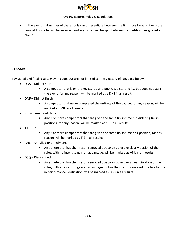

• In the event that neither of these tools can differentiate between the finish positions of 2 or more competitors, a tie will be awarded and any prizes will be split between competitors designated as "tied".

#### **GLOSSARY**

Provisional and final results may include, but are not limited to, the glossary of language below:

- DNS Did not start.
	- A competitor that is on the registered and publicized starting list but does not start the event, for any reason, will be marked as a DNS in all results.
- DNF Did not finish.
	- A competitor that never completed the entirety of the course, for any reason, will be marked as DNF in all results.
- SFT Same finish time.
	- Any 2 or more competitors that are given the same finish time but differing finish positions, for any reason, will be marked as SFT in all results.
- $\bullet$  TIE Tie.
	- $\blacksquare$ Any 2 or more competitors that are given the same finish time **and** position, for any reason, will be marked as TIE in all results.
- ANL Annulled or annulment.
	- An athlete that has their result removed due to an objective clear violation of the rules, with no intent to gain an advantage, will be marked as ANL in all results.
- DSQ Disqualified.
	- An athlete that has their result removed due to an objectively clear violation of the  $\mathbf{u}$  . rules, with an intent to gain an advantage, or has their result removed due to a failure in performance verification, will be marked as DSQ in all results.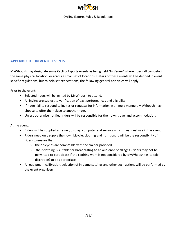

# **APPENDIX D – IN VENUE EVENTS**

MyWhoosh may designate some Cycling Esports events as being held "In Venue" where riders all compete in the same physical location, or across a small set of locations. Details of these events will be defined in event specific regulations, but to help set expectations, the following general principles will apply.

Prior to the event:

- Selected riders will be invited by MyWhoosh to attend.
- All invites are subject to verification of past performances and eligibility.
- If riders fail to respond to invites or requests for information in a timely manner, MyWhoosh may choose to offer their place to another rider.
- Unless otherwise notified, riders will be responsible for their own travel and accommodation.

At the event:

- Riders will be supplied a trainer, display, computer and sensors which they must use in the event.
- Riders need only supply their own bicycle, clothing and nutrition. It will be the responsibility of riders to ensure that:
	- o their bicycles are compatible with the trainer provided.
	- o their clothing is suitable for broadcasting to an audience of all ages riders may not be permitted to participate if the clothing worn is not considered by MyWhoosh (in its sole discretion) to be appropriate.
- All equipment calibration, selection of in-game settings and other such actions will be performed by the event organizers.